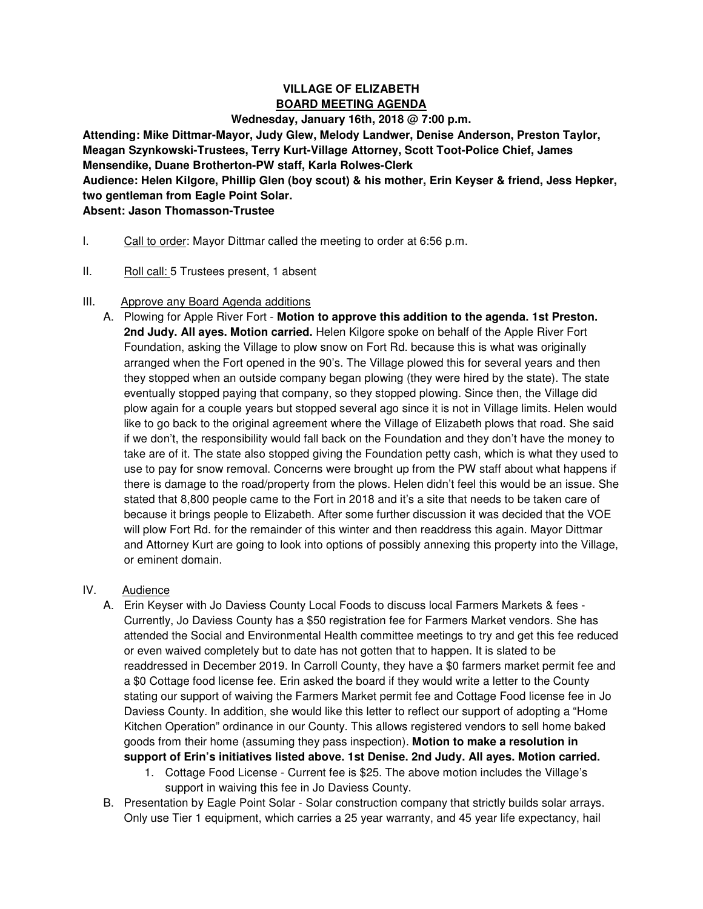# **VILLAGE OF ELIZABETH BOARD MEETING AGENDA**

#### **Wednesday, January 16th, 2018 @ 7:00 p.m.**

**Attending: Mike Dittmar-Mayor, Judy Glew, Melody Landwer, Denise Anderson, Preston Taylor, Meagan Szynkowski-Trustees, Terry Kurt-Village Attorney, Scott Toot-Police Chief, James Mensendike, Duane Brotherton-PW staff, Karla Rolwes-Clerk** 

**Audience: Helen Kilgore, Phillip Glen (boy scout) & his mother, Erin Keyser & friend, Jess Hepker, two gentleman from Eagle Point Solar.** 

# **Absent: Jason Thomasson-Trustee**

- I. Call to order: Mayor Dittmar called the meeting to order at 6:56 p.m.
- II. Roll call: 5 Trustees present, 1 absent

### III. Approve any Board Agenda additions

A. Plowing for Apple River Fort - **Motion to approve this addition to the agenda. 1st Preston. 2nd Judy. All ayes. Motion carried.** Helen Kilgore spoke on behalf of the Apple River Fort Foundation, asking the Village to plow snow on Fort Rd. because this is what was originally arranged when the Fort opened in the 90's. The Village plowed this for several years and then they stopped when an outside company began plowing (they were hired by the state). The state eventually stopped paying that company, so they stopped plowing. Since then, the Village did plow again for a couple years but stopped several ago since it is not in Village limits. Helen would like to go back to the original agreement where the Village of Elizabeth plows that road. She said if we don't, the responsibility would fall back on the Foundation and they don't have the money to take are of it. The state also stopped giving the Foundation petty cash, which is what they used to use to pay for snow removal. Concerns were brought up from the PW staff about what happens if there is damage to the road/property from the plows. Helen didn't feel this would be an issue. She stated that 8,800 people came to the Fort in 2018 and it's a site that needs to be taken care of because it brings people to Elizabeth. After some further discussion it was decided that the VOE will plow Fort Rd. for the remainder of this winter and then readdress this again. Mayor Dittmar and Attorney Kurt are going to look into options of possibly annexing this property into the Village, or eminent domain.

## IV. Audience

- A. Erin Keyser with Jo Daviess County Local Foods to discuss local Farmers Markets & fees Currently, Jo Daviess County has a \$50 registration fee for Farmers Market vendors. She has attended the Social and Environmental Health committee meetings to try and get this fee reduced or even waived completely but to date has not gotten that to happen. It is slated to be readdressed in December 2019. In Carroll County, they have a \$0 farmers market permit fee and a \$0 Cottage food license fee. Erin asked the board if they would write a letter to the County stating our support of waiving the Farmers Market permit fee and Cottage Food license fee in Jo Daviess County. In addition, she would like this letter to reflect our support of adopting a "Home Kitchen Operation" ordinance in our County. This allows registered vendors to sell home baked goods from their home (assuming they pass inspection). **Motion to make a resolution in support of Erin's initiatives listed above. 1st Denise. 2nd Judy. All ayes. Motion carried.** 
	- 1. Cottage Food License Current fee is \$25. The above motion includes the Village's support in waiving this fee in Jo Daviess County.
- B. Presentation by Eagle Point Solar Solar construction company that strictly builds solar arrays. Only use Tier 1 equipment, which carries a 25 year warranty, and 45 year life expectancy, hail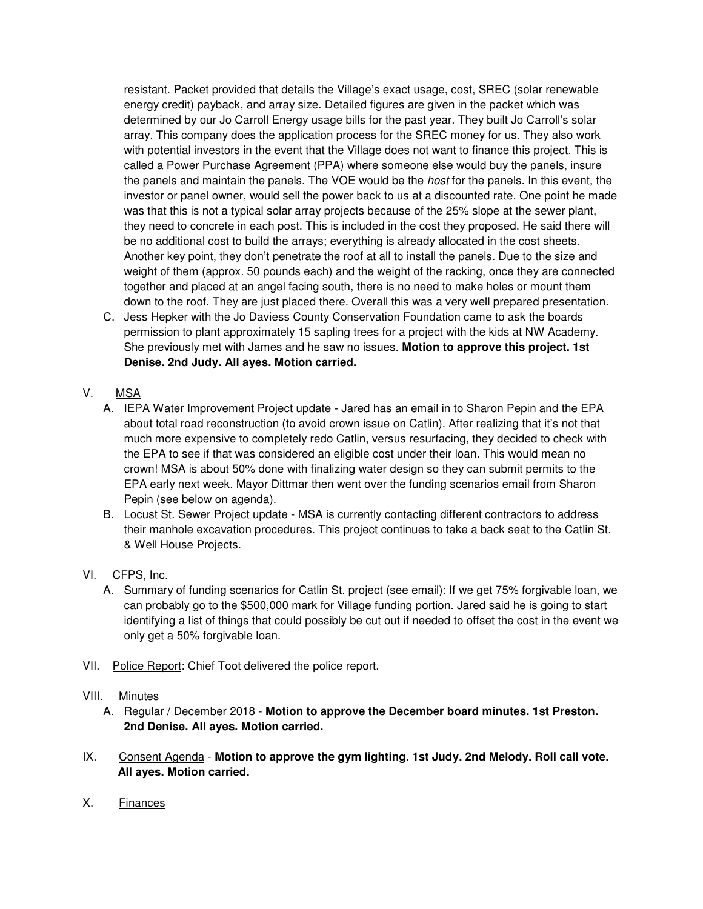resistant. Packet provided that details the Village's exact usage, cost, SREC (solar renewable energy credit) payback, and array size. Detailed figures are given in the packet which was determined by our Jo Carroll Energy usage bills for the past year. They built Jo Carroll's solar array. This company does the application process for the SREC money for us. They also work with potential investors in the event that the Village does not want to finance this project. This is called a Power Purchase Agreement (PPA) where someone else would buy the panels, insure the panels and maintain the panels. The VOE would be the *host* for the panels. In this event, the investor or panel owner, would sell the power back to us at a discounted rate. One point he made was that this is not a typical solar array projects because of the 25% slope at the sewer plant, they need to concrete in each post. This is included in the cost they proposed. He said there will be no additional cost to build the arrays; everything is already allocated in the cost sheets. Another key point, they don't penetrate the roof at all to install the panels. Due to the size and weight of them (approx. 50 pounds each) and the weight of the racking, once they are connected together and placed at an angel facing south, there is no need to make holes or mount them down to the roof. They are just placed there. Overall this was a very well prepared presentation.

C. Jess Hepker with the Jo Daviess County Conservation Foundation came to ask the boards permission to plant approximately 15 sapling trees for a project with the kids at NW Academy. She previously met with James and he saw no issues. **Motion to approve this project. 1st Denise. 2nd Judy. All ayes. Motion carried.** 

# V. MSA

- A. IEPA Water Improvement Project update Jared has an email in to Sharon Pepin and the EPA about total road reconstruction (to avoid crown issue on Catlin). After realizing that it's not that much more expensive to completely redo Catlin, versus resurfacing, they decided to check with the EPA to see if that was considered an eligible cost under their loan. This would mean no crown! MSA is about 50% done with finalizing water design so they can submit permits to the EPA early next week. Mayor Dittmar then went over the funding scenarios email from Sharon Pepin (see below on agenda).
- B. Locust St. Sewer Project update MSA is currently contacting different contractors to address their manhole excavation procedures. This project continues to take a back seat to the Catlin St. & Well House Projects.

## VI. CFPS, Inc.

- A. Summary of funding scenarios for Catlin St. project (see email): If we get 75% forgivable loan, we can probably go to the \$500,000 mark for Village funding portion. Jared said he is going to start identifying a list of things that could possibly be cut out if needed to offset the cost in the event we only get a 50% forgivable loan.
- VII. Police Report: Chief Toot delivered the police report.

#### VIII. Minutes

- A. Regular / December 2018 **Motion to approve the December board minutes. 1st Preston. 2nd Denise. All ayes. Motion carried.**
- IX. Consent Agenda **Motion to approve the gym lighting. 1st Judy. 2nd Melody. Roll call vote. All ayes. Motion carried.**
- X. Finances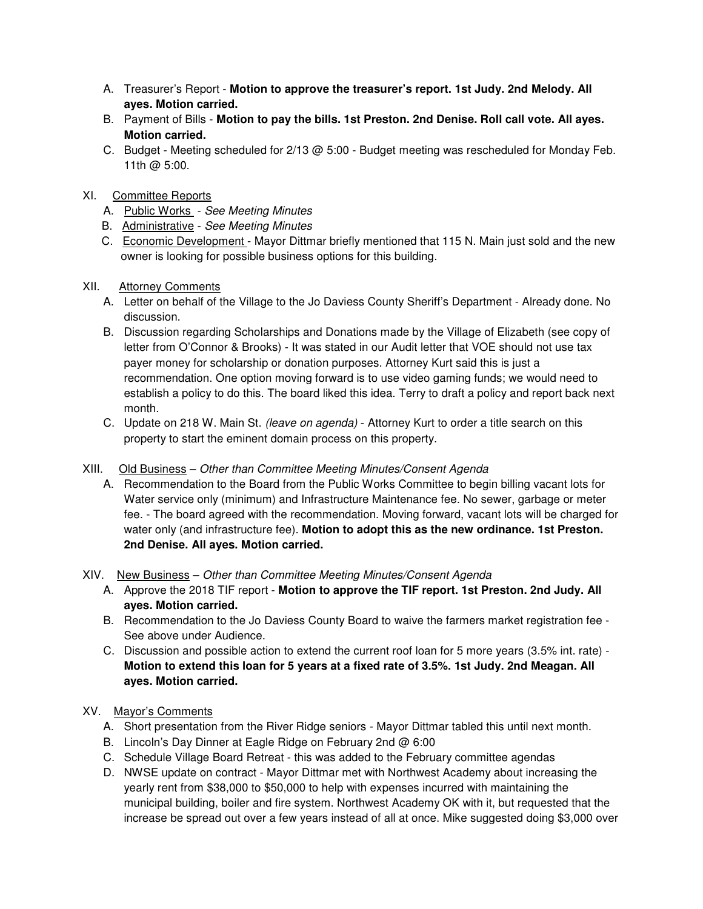- A. Treasurer's Report **Motion to approve the treasurer's report. 1st Judy. 2nd Melody. All ayes. Motion carried.**
- B. Payment of Bills **Motion to pay the bills. 1st Preston. 2nd Denise. Roll call vote. All ayes. Motion carried.**
- C. Budget Meeting scheduled for 2/13 @ 5:00 Budget meeting was rescheduled for Monday Feb. 11th @ 5:00.
- XI. Committee Reports
	- A. Public Works See Meeting Minutes
	- B. Administrative See Meeting Minutes
	- C. Economic Development Mayor Dittmar briefly mentioned that 115 N. Main just sold and the new owner is looking for possible business options for this building.

#### XII. Attorney Comments

- A. Letter on behalf of the Village to the Jo Daviess County Sheriff's Department Already done. No discussion.
- B. Discussion regarding Scholarships and Donations made by the Village of Elizabeth (see copy of letter from O'Connor & Brooks) - It was stated in our Audit letter that VOE should not use tax payer money for scholarship or donation purposes. Attorney Kurt said this is just a recommendation. One option moving forward is to use video gaming funds; we would need to establish a policy to do this. The board liked this idea. Terry to draft a policy and report back next month.
- C. Update on 218 W. Main St. (leave on agenda) Attorney Kurt to order a title search on this property to start the eminent domain process on this property.
- XIII. Old Business Other than Committee Meeting Minutes/Consent Agenda
	- A. Recommendation to the Board from the Public Works Committee to begin billing vacant lots for Water service only (minimum) and Infrastructure Maintenance fee. No sewer, garbage or meter fee. - The board agreed with the recommendation. Moving forward, vacant lots will be charged for water only (and infrastructure fee). **Motion to adopt this as the new ordinance. 1st Preston. 2nd Denise. All ayes. Motion carried.**

#### XIV. New Business – Other than Committee Meeting Minutes/Consent Agenda

- A. Approve the 2018 TIF report - **Motion to approve the TIF report. 1st Preston. 2nd Judy. All ayes. Motion carried.**
- B. Recommendation to the Jo Daviess County Board to waive the farmers market registration fee See above under Audience.
- C. Discussion and possible action to extend the current roof loan for 5 more years (3.5% int. rate) **Motion to extend this loan for 5 years at a fixed rate of 3.5%. 1st Judy. 2nd Meagan. All ayes. Motion carried.**

#### XV. Mayor's Comments

- A. Short presentation from the River Ridge seniors Mayor Dittmar tabled this until next month.
- B. Lincoln's Day Dinner at Eagle Ridge on February 2nd @ 6:00
- C. Schedule Village Board Retreat this was added to the February committee agendas
- D. NWSE update on contract Mayor Dittmar met with Northwest Academy about increasing the yearly rent from \$38,000 to \$50,000 to help with expenses incurred with maintaining the municipal building, boiler and fire system. Northwest Academy OK with it, but requested that the increase be spread out over a few years instead of all at once. Mike suggested doing \$3,000 over